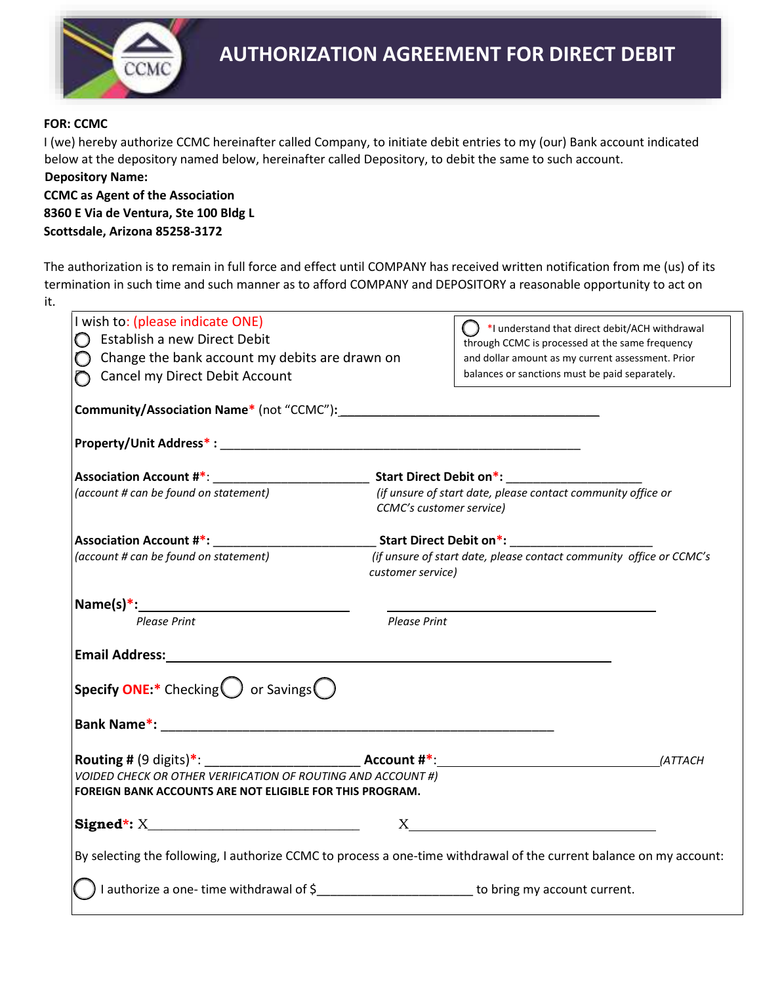

## **FOR: CCMC**

I (we) hereby authorize CCMC hereinafter called Company, to initiate debit entries to my (our) Bank account indicated below at the depository named below, hereinafter called Depository, to debit the same to such account. **Depository Name:** 

**CCMC as Agent of the Association 8360 E Via de Ventura, Ste 100 Bldg L Scottsdale, Arizona 85258-3172** 

The authorization is to remain in full force and effect until COMPANY has received written notification from me (us) of its termination in such time and such manner as to afford COMPANY and DEPOSITORY a reasonable opportunity to act on it.

| I wish to: (please indicate ONE)                                                                                                |                                                                                          | $\binom{1}{k}$ *I understand that direct debit/ACH withdrawal                                       |  |
|---------------------------------------------------------------------------------------------------------------------------------|------------------------------------------------------------------------------------------|-----------------------------------------------------------------------------------------------------|--|
| $\bigcirc$ Establish a new Direct Debit                                                                                         |                                                                                          | through CCMC is processed at the same frequency                                                     |  |
| Change the bank account my debits are drawn on                                                                                  |                                                                                          | and dollar amount as my current assessment. Prior<br>balances or sanctions must be paid separately. |  |
| Cancel my Direct Debit Account                                                                                                  |                                                                                          |                                                                                                     |  |
|                                                                                                                                 |                                                                                          |                                                                                                     |  |
|                                                                                                                                 |                                                                                          |                                                                                                     |  |
|                                                                                                                                 |                                                                                          |                                                                                                     |  |
| (account # can be found on statement)                                                                                           | (if unsure of start date, please contact community office or<br>CCMC's customer service) |                                                                                                     |  |
|                                                                                                                                 | Association Account #*: Start Direct Debit on *: Start Direct Debit on *:                |                                                                                                     |  |
| (account # can be found on statement)                                                                                           | (if unsure of start date, please contact community office or CCMC's<br>customer service) |                                                                                                     |  |
|                                                                                                                                 |                                                                                          |                                                                                                     |  |
| Please Print                                                                                                                    | Please Print                                                                             |                                                                                                     |  |
| Email Address: Email Address:                                                                                                   |                                                                                          |                                                                                                     |  |
| <b>Specify ONE:*</b> Checking $\bigcirc$ or Savings $\bigcirc$                                                                  |                                                                                          |                                                                                                     |  |
|                                                                                                                                 |                                                                                          |                                                                                                     |  |
|                                                                                                                                 |                                                                                          | (ATTACH                                                                                             |  |
| <b>VOIDED CHECK OR OTHER VERIFICATION OF ROUTING AND ACCOUNT #)</b><br>FOREIGN BANK ACCOUNTS ARE NOT ELIGIBLE FOR THIS PROGRAM. |                                                                                          |                                                                                                     |  |
|                                                                                                                                 |                                                                                          | $X \sim$                                                                                            |  |
| By selecting the following, I authorize CCMC to process a one-time withdrawal of the current balance on my account:             |                                                                                          |                                                                                                     |  |
| I authorize a one-time withdrawal of \$___________________________ to bring my account current.                                 |                                                                                          |                                                                                                     |  |